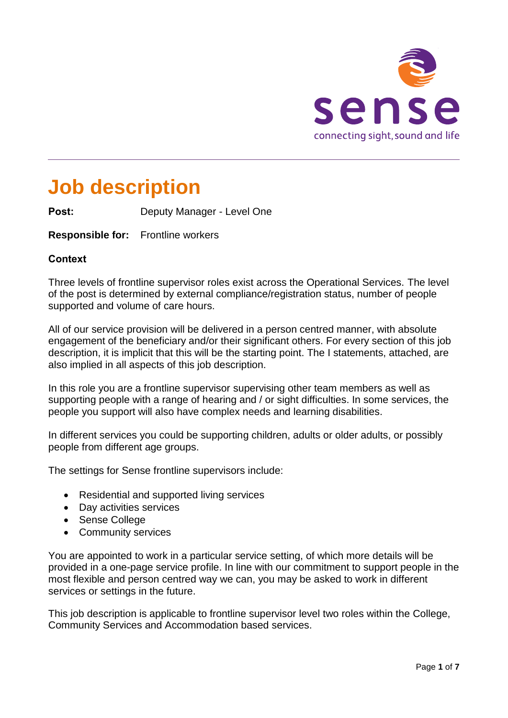

# **Job description**

**Post:** Deputy Manager - Level One

**Responsible for:** Frontline workers

# **Context**

Three levels of frontline supervisor roles exist across the Operational Services. The level of the post is determined by external compliance/registration status, number of people supported and volume of care hours.

All of our service provision will be delivered in a person centred manner, with absolute engagement of the beneficiary and/or their significant others. For every section of this job description, it is implicit that this will be the starting point. The I statements, attached, are also implied in all aspects of this job description.

In this role you are a frontline supervisor supervising other team members as well as supporting people with a range of hearing and / or sight difficulties. In some services, the people you support will also have complex needs and learning disabilities.

In different services you could be supporting children, adults or older adults, or possibly people from different age groups.

The settings for Sense frontline supervisors include:

- Residential and supported living services
- Day activities services
- Sense College
- Community services

You are appointed to work in a particular service setting, of which more details will be provided in a one-page service profile. In line with our commitment to support people in the most flexible and person centred way we can, you may be asked to work in different services or settings in the future.

This job description is applicable to frontline supervisor level two roles within the College, Community Services and Accommodation based services.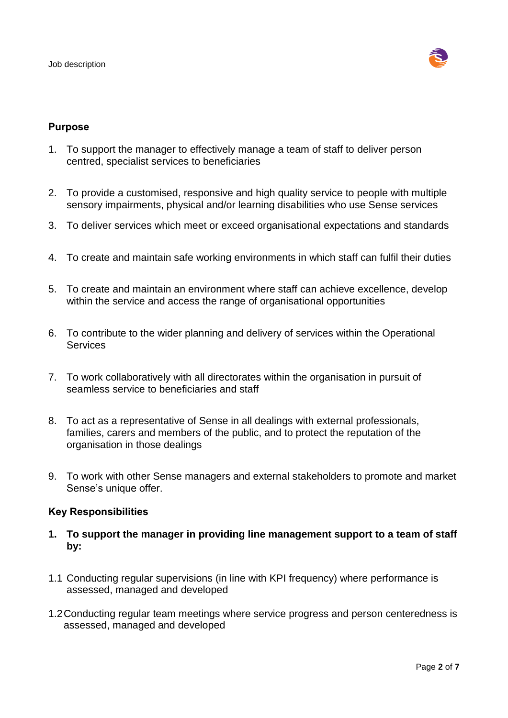

## **Purpose**

- 1. To support the manager to effectively manage a team of staff to deliver person centred, specialist services to beneficiaries
- 2. To provide a customised, responsive and high quality service to people with multiple sensory impairments, physical and/or learning disabilities who use Sense services
- 3. To deliver services which meet or exceed organisational expectations and standards
- 4. To create and maintain safe working environments in which staff can fulfil their duties
- 5. To create and maintain an environment where staff can achieve excellence, develop within the service and access the range of organisational opportunities
- 6. To contribute to the wider planning and delivery of services within the Operational **Services**
- 7. To work collaboratively with all directorates within the organisation in pursuit of seamless service to beneficiaries and staff
- 8. To act as a representative of Sense in all dealings with external professionals, families, carers and members of the public, and to protect the reputation of the organisation in those dealings
- 9. To work with other Sense managers and external stakeholders to promote and market Sense's unique offer.

### **Key Responsibilities**

- **1. To support the manager in providing line management support to a team of staff by:**
- 1.1 Conducting regular supervisions (in line with KPI frequency) where performance is assessed, managed and developed
- 1.2Conducting regular team meetings where service progress and person centeredness is assessed, managed and developed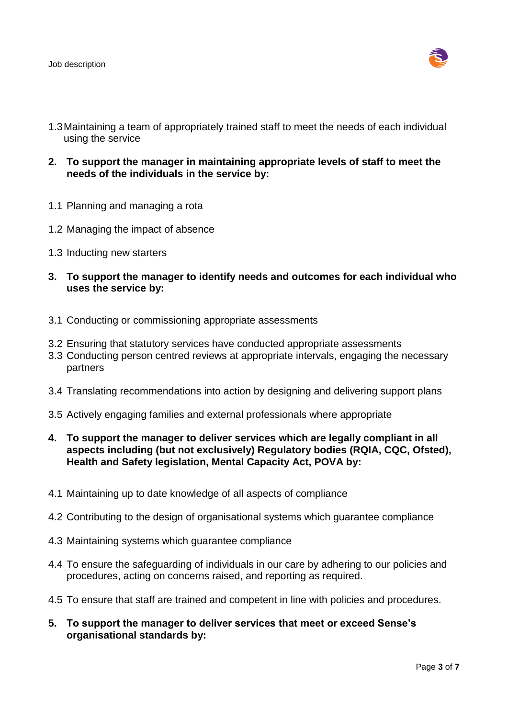

- 1.3Maintaining a team of appropriately trained staff to meet the needs of each individual using the service
- **2. To support the manager in maintaining appropriate levels of staff to meet the needs of the individuals in the service by:**
- 1.1 Planning and managing a rota
- 1.2 Managing the impact of absence
- 1.3 Inducting new starters
- **3. To support the manager to identify needs and outcomes for each individual who uses the service by:**
- 3.1 Conducting or commissioning appropriate assessments
- 3.2 Ensuring that statutory services have conducted appropriate assessments
- 3.3 Conducting person centred reviews at appropriate intervals, engaging the necessary partners
- 3.4 Translating recommendations into action by designing and delivering support plans
- 3.5 Actively engaging families and external professionals where appropriate
- **4. To support the manager to deliver services which are legally compliant in all aspects including (but not exclusively) Regulatory bodies (RQIA, CQC, Ofsted), Health and Safety legislation, Mental Capacity Act, POVA by:**
- 4.1 Maintaining up to date knowledge of all aspects of compliance
- 4.2 Contributing to the design of organisational systems which guarantee compliance
- 4.3 Maintaining systems which guarantee compliance
- 4.4 To ensure the safeguarding of individuals in our care by adhering to our policies and procedures, acting on concerns raised, and reporting as required.
- 4.5 To ensure that staff are trained and competent in line with policies and procedures.
- **5. To support the manager to deliver services that meet or exceed Sense's organisational standards by:**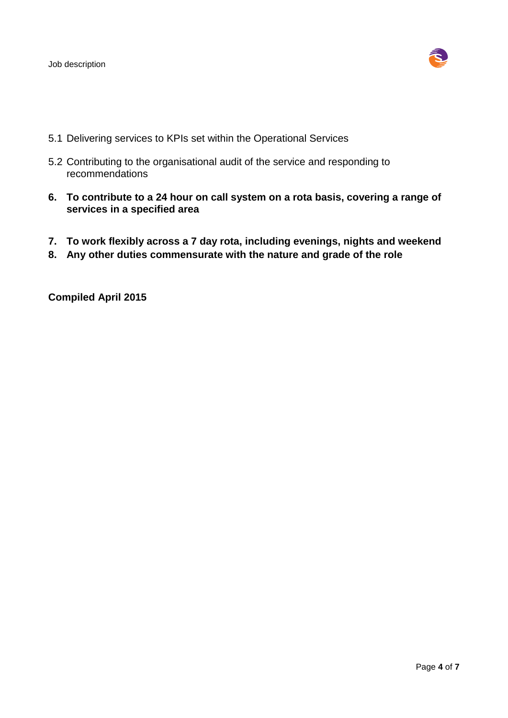

- 5.1 Delivering services to KPIs set within the Operational Services
- 5.2 Contributing to the organisational audit of the service and responding to recommendations
- **6. To contribute to a 24 hour on call system on a rota basis, covering a range of services in a specified area**
- **7. To work flexibly across a 7 day rota, including evenings, nights and weekend**
- **8. Any other duties commensurate with the nature and grade of the role**

**Compiled April 2015**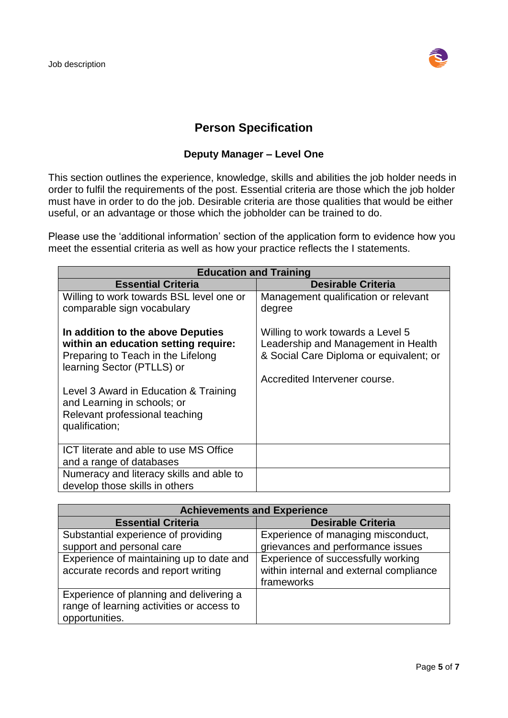

# **Person Specification**

# **Deputy Manager – Level One**

This section outlines the experience, knowledge, skills and abilities the job holder needs in order to fulfil the requirements of the post. Essential criteria are those which the job holder must have in order to do the job. Desirable criteria are those qualities that would be either useful, or an advantage or those which the jobholder can be trained to do.

Please use the 'additional information' section of the application form to evidence how you meet the essential criteria as well as how your practice reflects the I statements.

| <b>Education and Training</b>                                                                                                                 |                                                                                                                                                      |  |
|-----------------------------------------------------------------------------------------------------------------------------------------------|------------------------------------------------------------------------------------------------------------------------------------------------------|--|
| <b>Essential Criteria</b>                                                                                                                     | <b>Desirable Criteria</b>                                                                                                                            |  |
| Willing to work towards BSL level one or                                                                                                      | Management qualification or relevant                                                                                                                 |  |
| comparable sign vocabulary                                                                                                                    | degree                                                                                                                                               |  |
| In addition to the above Deputies<br>within an education setting require:<br>Preparing to Teach in the Lifelong<br>learning Sector (PTLLS) or | Willing to work towards a Level 5<br>Leadership and Management in Health<br>& Social Care Diploma or equivalent; or<br>Accredited Intervener course. |  |
| Level 3 Award in Education & Training<br>and Learning in schools; or<br>Relevant professional teaching<br>qualification;                      |                                                                                                                                                      |  |
| ICT literate and able to use MS Office<br>and a range of databases                                                                            |                                                                                                                                                      |  |
| Numeracy and literacy skills and able to<br>develop those skills in others                                                                    |                                                                                                                                                      |  |

| <b>Achievements and Experience</b>                                                                     |                                                                                             |  |
|--------------------------------------------------------------------------------------------------------|---------------------------------------------------------------------------------------------|--|
| <b>Essential Criteria</b>                                                                              | <b>Desirable Criteria</b>                                                                   |  |
| Substantial experience of providing                                                                    | Experience of managing misconduct,                                                          |  |
| support and personal care                                                                              | grievances and performance issues                                                           |  |
| Experience of maintaining up to date and<br>accurate records and report writing                        | Experience of successfully working<br>within internal and external compliance<br>frameworks |  |
| Experience of planning and delivering a<br>range of learning activities or access to<br>opportunities. |                                                                                             |  |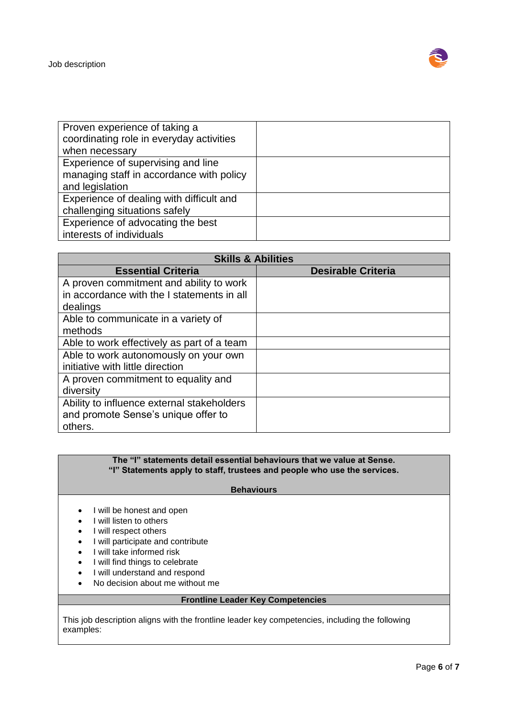

| Proven experience of taking a            |  |
|------------------------------------------|--|
| coordinating role in everyday activities |  |
| when necessary                           |  |
| Experience of supervising and line       |  |
| managing staff in accordance with policy |  |
| and legislation                          |  |
| Experience of dealing with difficult and |  |
| challenging situations safely            |  |
| Experience of advocating the best        |  |
| interests of individuals                 |  |

| <b>Skills &amp; Abilities</b>              |                           |  |
|--------------------------------------------|---------------------------|--|
| <b>Essential Criteria</b>                  | <b>Desirable Criteria</b> |  |
| A proven commitment and ability to work    |                           |  |
| in accordance with the I statements in all |                           |  |
| dealings                                   |                           |  |
| Able to communicate in a variety of        |                           |  |
| methods                                    |                           |  |
| Able to work effectively as part of a team |                           |  |
| Able to work autonomously on your own      |                           |  |
| initiative with little direction           |                           |  |
| A proven commitment to equality and        |                           |  |
| diversity                                  |                           |  |
| Ability to influence external stakeholders |                           |  |
| and promote Sense's unique offer to        |                           |  |
| others.                                    |                           |  |

#### **The "I" statements detail essential behaviours that we value at Sense. "I" Statements apply to staff, trustees and people who use the services.**

#### **Behaviours**

- I will be honest and open
- I will listen to others
- I will respect others
- I will participate and contribute
- I will take informed risk
- I will find things to celebrate
- I will understand and respond
- No decision about me without me

#### **Frontline Leader Key Competencies**

This job description aligns with the frontline leader key competencies, including the following examples: